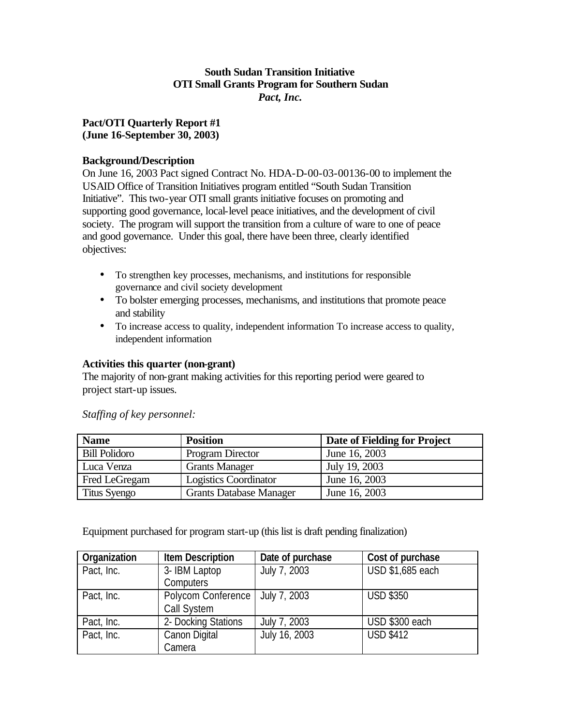# **South Sudan Transition Initiative OTI Small Grants Program for Southern Sudan** *Pact, Inc.*

# **Pact/OTI Quarterly Report #1 (June 16-September 30, 2003)**

# **Background/Description**

On June 16, 2003 Pact signed Contract No. HDA-D-00-03-00136-00 to implement the USAID Office of Transition Initiatives program entitled "South Sudan Transition Initiative". This two-year OTI small grants initiative focuses on promoting and supporting good governance, local-level peace initiatives, and the development of civil society. The program will support the transition from a culture of ware to one of peace and good governance. Under this goal, there have been three, clearly identified objectives:

- To strengthen key processes, mechanisms, and institutions for responsible governance and civil society development
- To bolster emerging processes, mechanisms, and institutions that promote peace and stability
- To increase access to quality, independent information To increase access to quality, independent information

#### **Activities this quarter (non-grant)**

The majority of non-grant making activities for this reporting period were geared to project start-up issues.

| <b>Name</b>          | <b>Position</b>                | Date of Fielding for Project |
|----------------------|--------------------------------|------------------------------|
| <b>Bill Polidoro</b> | Program Director               | June 16, 2003                |
| Luca Venza           | <b>Grants Manager</b>          | July 19, 2003                |
| Fred LeGregam        | <b>Logistics Coordinator</b>   | June 16, 2003                |
| Titus Syengo         | <b>Grants Database Manager</b> | June 16, 2003                |

*Staffing of key personnel:*

Equipment purchased for program start-up (this list is draft pending finalization)

| Organization | <b>Item Description</b> | Date of purchase | Cost of purchase |
|--------------|-------------------------|------------------|------------------|
| Pact, Inc.   | 3-IBM Laptop            | July 7, 2003     | USD \$1,685 each |
|              | <b>Computers</b>        |                  |                  |
| Pact, Inc.   | Polycom Conference      | July 7, 2003     | <b>USD \$350</b> |
|              | Call System             |                  |                  |
| Pact, Inc.   | 2- Docking Stations     | July 7, 2003     | USD \$300 each   |
| Pact, Inc.   | Canon Digital           | July 16, 2003    | <b>USD \$412</b> |
|              | Camera                  |                  |                  |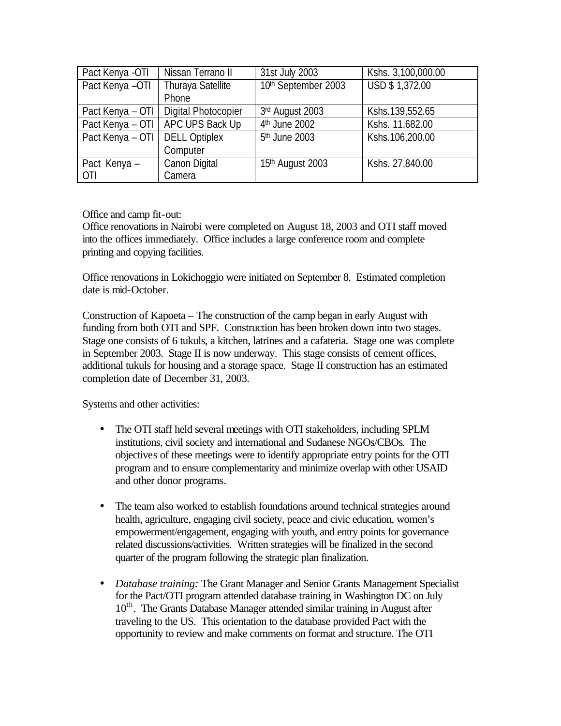| Pact Kenya -OTI  | Nissan Terrano II    | 31st July 2003            | Kshs. 3,100,000.00 |
|------------------|----------------------|---------------------------|--------------------|
| Pact Kenya -OTI  | Thuraya Satellite    | 10th September 2003       | USD \$1,372.00     |
|                  | Phone                |                           |                    |
| Pact Kenya - OTI | Digital Photocopier  | 3rd August 2003           | Kshs.139,552.65    |
| Pact Kenya - OTI | APC UPS Back Up      | 4 <sup>th</sup> June 2002 | Kshs. 11,682.00    |
| Pact Kenya - OTI | <b>DELL Optiplex</b> | 5 <sup>th</sup> June 2003 | Kshs.106,200.00    |
|                  | Computer             |                           |                    |
| Pact Kenya –     | Canon Digital        | 15th August 2003          | Kshs. 27,840.00    |
| <b>OTI</b>       | Camera               |                           |                    |

# Office and camp fit-out:

Office renovations in Nairobi were completed on August 18, 2003 and OTI staff moved into the offices immediately. Office includes a large conference room and complete printing and copying facilities.

Office renovations in Lokichoggio were initiated on September 8. Estimated completion date is mid-October.

Construction of Kapoeta – The construction of the camp began in early August with funding from both OTI and SPF. Construction has been broken down into two stages. Stage one consists of 6 tukuls, a kitchen, latrines and a cafateria. Stage one was complete in September 2003. Stage II is now underway. This stage consists of cement offices, additional tukuls for housing and a storage space. Stage II construction has an estimated completion date of December 31, 2003.

Systems and other activities:

- The OTI staff held several meetings with OTI stakeholders, including SPLM institutions, civil society and international and Sudanese NGOs/CBOs. The objectives of these meetings were to identify appropriate entry points for the OTI program and to ensure complementarity and minimize overlap with other USAID and other donor programs*.*
- The team also worked to establish foundations around technical strategies around health, agriculture, engaging civil society, peace and civic education, women's empowerment/engagement, engaging with youth, and entry points for governance related discussions/activities. Written strategies will be finalized in the second quarter of the program following the strategic plan finalization.
- *Database training:* The Grant Manager and Senior Grants Management Specialist for the Pact/OTI program attended database training in Washington DC on July  $10<sup>th</sup>$ . The Grants Database Manager attended similar training in August after traveling to the US. This orientation to the database provided Pact with the opportunity to review and make comments on format and structure. The OTI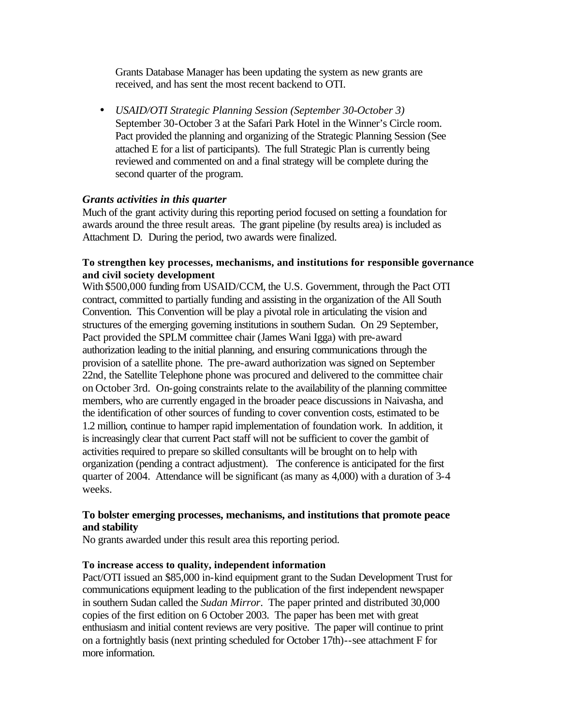Grants Database Manager has been updating the system as new grants are received, and has sent the most recent backend to OTI.

• *USAID/OTI Strategic Planning Session (September 30-October 3)* September 30-October 3 at the Safari Park Hotel in the Winner's Circle room. Pact provided the planning and organizing of the Strategic Planning Session (See attached E for a list of participants). The full Strategic Plan is currently being reviewed and commented on and a final strategy will be complete during the second quarter of the program.

#### *Grants activities in this quarter*

Much of the grant activity during this reporting period focused on setting a foundation for awards around the three result areas. The grant pipeline (by results area) is included as Attachment D. During the period, two awards were finalized.

#### **To strengthen key processes, mechanisms, and institutions for responsible governance and civil society development**

With \$500,000 funding from USAID/CCM, the U.S. Government, through the Pact OTI contract, committed to partially funding and assisting in the organization of the All South Convention. This Convention will be play a pivotal role in articulating the vision and structures of the emerging governing institutions in southern Sudan. On 29 September, Pact provided the SPLM committee chair (James Wani Igga) with pre-award authorization leading to the initial planning, and ensuring communications through the provision of a satellite phone. The pre-award authorization was signed on September 22nd, the Satellite Telephone phone was procured and delivered to the committee chair on October 3rd. On-going constraints relate to the availability of the planning committee members, who are currently engaged in the broader peace discussions in Naivasha, and the identification of other sources of funding to cover convention costs, estimated to be 1.2 million, continue to hamper rapid implementation of foundation work. In addition, it is increasingly clear that current Pact staff will not be sufficient to cover the gambit of activities required to prepare so skilled consultants will be brought on to help with organization (pending a contract adjustment). The conference is anticipated for the first quarter of 2004. Attendance will be significant (as many as 4,000) with a duration of 3-4 weeks.

# **To bolster emerging processes, mechanisms, and institutions that promote peace and stability**

No grants awarded under this result area this reporting period.

#### **To increase access to quality, independent information**

Pact/OTI issued an \$85,000 in-kind equipment grant to the Sudan Development Trust for communications equipment leading to the publication of the first independent newspaper in southern Sudan called the *Sudan Mirror*. The paper printed and distributed 30,000 copies of the first edition on 6 October 2003. The paper has been met with great enthusiasm and initial content reviews are very positive. The paper will continue to print on a fortnightly basis (next printing scheduled for October 17th)--see attachment F for more information.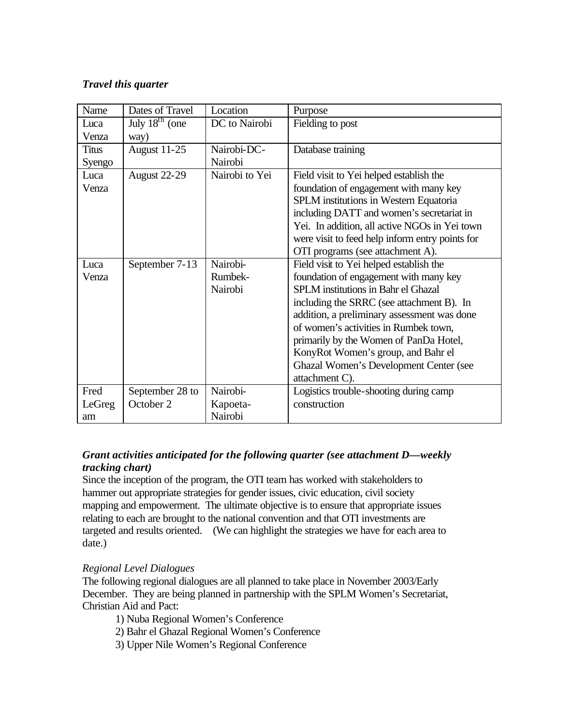# *Travel this quarter*

| Name         | Dates of Travel            | Location       | Purpose                                         |
|--------------|----------------------------|----------------|-------------------------------------------------|
| Luca         | July $18^{\text{th}}$ (one | DC to Nairobi  | Fielding to post                                |
| Venza        | way)                       |                |                                                 |
| <b>Titus</b> | August 11-25               | Nairobi-DC-    | Database training                               |
| Syengo       |                            | Nairobi        |                                                 |
| Luca         | August 22-29               | Nairobi to Yei | Field visit to Yei helped establish the         |
| Venza        |                            |                | foundation of engagement with many key          |
|              |                            |                | SPLM institutions in Western Equatoria          |
|              |                            |                | including DATT and women's secretariat in       |
|              |                            |                | Yei. In addition, all active NGOs in Yei town   |
|              |                            |                | were visit to feed help inform entry points for |
|              |                            |                | OTI programs (see attachment A).                |
| Luca         | September 7-13             | Nairobi-       | Field visit to Yei helped establish the         |
| Venza        |                            | Rumbek-        | foundation of engagement with many key          |
|              |                            | Nairobi        | SPLM institutions in Bahr el Ghazal             |
|              |                            |                | including the SRRC (see attachment B). In       |
|              |                            |                | addition, a preliminary assessment was done     |
|              |                            |                | of women's activities in Rumbek town,           |
|              |                            |                | primarily by the Women of PanDa Hotel,          |
|              |                            |                | KonyRot Women's group, and Bahr el              |
|              |                            |                | <b>Ghazal Women's Development Center (see</b>   |
|              |                            |                | attachment C).                                  |
| Fred         | September 28 to            | Nairobi-       | Logistics trouble-shooting during camp          |
| LeGreg       | October 2                  | Kapoeta-       | construction                                    |
| am           |                            | Nairobi        |                                                 |

# *Grant activities anticipated for the following quarter (see attachment D—weekly tracking chart)*

Since the inception of the program, the OTI team has worked with stakeholders to hammer out appropriate strategies for gender issues, civic education, civil society mapping and empowerment. The ultimate objective is to ensure that appropriate issues relating to each are brought to the national convention and that OTI investments are targeted and results oriented. (We can highlight the strategies we have for each area to date.)

# *Regional Level Dialogues*

The following regional dialogues are all planned to take place in November 2003/Early December. They are being planned in partnership with the SPLM Women's Secretariat, Christian Aid and Pact:

- 1) Nuba Regional Women's Conference
- 2) Bahr el Ghazal Regional Women's Conference
- 3) Upper Nile Women's Regional Conference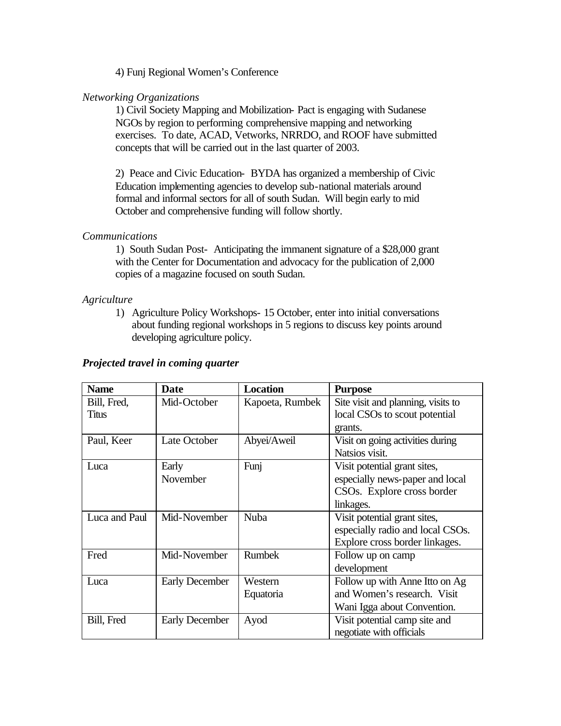4) Funj Regional Women's Conference

#### *Networking Organizations*

1) Civil Society Mapping and Mobilization- Pact is engaging with Sudanese NGOs by region to performing comprehensive mapping and networking exercises. To date, ACAD, Vetworks, NRRDO, and ROOF have submitted concepts that will be carried out in the last quarter of 2003.

2) Peace and Civic Education- BYDA has organized a membership of Civic Education implementing agencies to develop sub-national materials around formal and informal sectors for all of south Sudan. Will begin early to mid October and comprehensive funding will follow shortly.

#### *Communications*

1) South Sudan Post- Anticipating the immanent signature of a \$28,000 grant with the Center for Documentation and advocacy for the publication of 2,000 copies of a magazine focused on south Sudan.

#### *Agriculture*

1) Agriculture Policy Workshops- 15 October, enter into initial conversations about funding regional workshops in 5 regions to discuss key points around developing agriculture policy.

#### *Projected travel in coming quarter*

| <b>Name</b>   | <b>Date</b>           | <b>Location</b> | <b>Purpose</b>                     |
|---------------|-----------------------|-----------------|------------------------------------|
| Bill, Fred,   | Mid-October           | Kapoeta, Rumbek | Site visit and planning, visits to |
| <b>Titus</b>  |                       |                 | local CSOs to scout potential      |
|               |                       |                 | grants.                            |
| Paul, Keer    | Late October          | Abyei/Aweil     | Visit on going activities during   |
|               |                       |                 | Natsios visit.                     |
| Luca          | Early                 | Funj            | Visit potential grant sites,       |
|               | November              |                 | especially news-paper and local    |
|               |                       |                 | CSOs. Explore cross border         |
|               |                       |                 | linkages.                          |
| Luca and Paul | Mid-November          | <b>Nuba</b>     | Visit potential grant sites,       |
|               |                       |                 | especially radio and local CSOs.   |
|               |                       |                 | Explore cross border linkages.     |
| Fred          | Mid-November          | <b>Rumbek</b>   | Follow up on camp                  |
|               |                       |                 | development                        |
| Luca          | <b>Early December</b> | Western         | Follow up with Anne Itto on Ag     |
|               |                       | Equatoria       | and Women's research. Visit        |
|               |                       |                 | Wani Igga about Convention.        |
| Bill, Fred    | <b>Early December</b> | Ayod            | Visit potential camp site and      |
|               |                       |                 | negotiate with officials           |